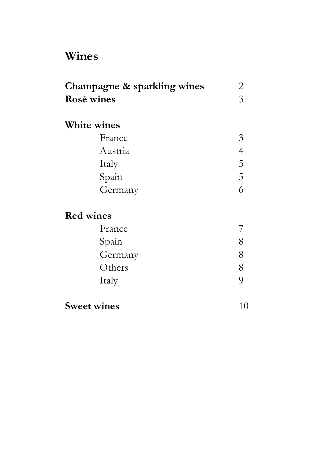# **Wines**

| Champagne & sparkling wines | $\overline{2}$ |
|-----------------------------|----------------|
| Rosé wines                  | $\overline{3}$ |
| <b>White wines</b>          |                |
| France                      | $\mathfrak{Z}$ |
| Austria                     | $\overline{4}$ |
| Italy                       | 5              |
| Spain                       | $\overline{5}$ |
| Germany                     | 6              |
| <b>Red wines</b>            |                |
| France                      |                |
| Spain                       | 8              |
| Germany                     | 8              |
| Others                      | 8              |
| Italy                       | $\overline{Q}$ |
| <b>Sweet wines</b>          | 10             |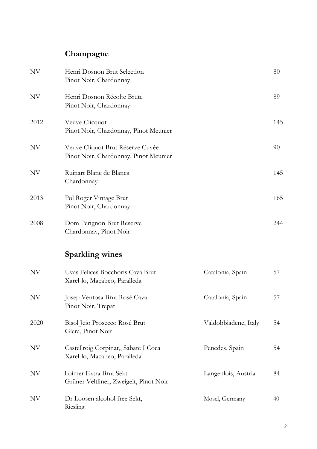## **Champagne**

| <b>NV</b> | Henri Dosnon Brut Selection<br>Pinot Noir, Chardonnay                     |                      | 80  |
|-----------|---------------------------------------------------------------------------|----------------------|-----|
| <b>NV</b> | Henri Dosnon Récolte Brute<br>Pinot Noir, Chardonnay                      |                      | 89  |
| 2012      | Veuve Clicquot<br>Pinot Noir, Chardonnay, Pinot Meunier                   |                      | 145 |
| NV        | Veuve Cliquot Brut Réserve Cuvée<br>Pinot Noir, Chardonnay, Pinot Meunier |                      | 90  |
| NV        | Ruinart Blanc de Blancs<br>Chardonnay                                     |                      | 145 |
| 2013      | Pol Roger Vintage Brut<br>Pinot Noir, Chardonnay                          |                      | 165 |
| 2008      | Dom Perignon Brut Reserve<br>Chardonnay, Pinot Noir                       |                      | 244 |
|           | <b>Sparkling wines</b>                                                    |                      |     |
| <b>NV</b> | Uvas Felices Bocchoris Cava Brut<br>Xarel-lo, Macabeo, Paralleda          | Catalonia, Spain     | 57  |
| NV        | Josep Ventosa Brut Rosé Cava<br>Pinot Noir, Trepat                        | Catalonia, Spain     | 57  |
| 2020      | Bisol Jeio Prosecco Rosé Brut<br>Glera, Pinot Noir                        | Valdobbiadene, Italy | 54  |
| NV        | Castellroig Corpinat,, Sabate I Coca<br>Xarel-lo, Macabeo, Paralleda      | Penedes, Spain       | 54  |
| NV.       | Loimer Extra Brut Sekt<br>Grüner Veltliner, Zweigelt, Pinot Noir          | Langenlois, Austria  | 84  |
| NV        | Dr Loosen alcohol free Sekt,<br>Riesling                                  | Mosel, Germany       | 40  |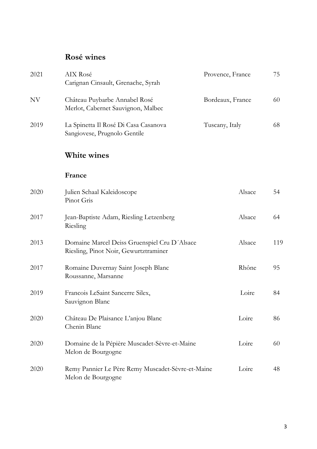## **Rosé wines**

| 2021 | AIX Rosé<br>Carignan Cinsault, Grenache, Syrah                                        | Provence, France | 75  |
|------|---------------------------------------------------------------------------------------|------------------|-----|
| NV   | Château Puybarbe Annabel Rosé<br>Merlot, Cabernet Sauvignon, Malbec                   | Bordeaux, France | 60  |
| 2019 | La Spinetta Il Rosé Di Casa Casanova<br>Sangiovese, Prugnolo Gentile                  | Tuscany, Italy   | 68  |
|      | White wines                                                                           |                  |     |
|      | France                                                                                |                  |     |
| 2020 | Julien Schaal Kaleidoscope<br>Pinot Gris                                              | Alsace           | 54  |
| 2017 | Jean-Baptiste Adam, Riesling Letzenberg<br>Riesling                                   | Alsace           | 64  |
| 2013 | Domaine Marcel Deiss Gruenspiel Cru D'Alsace<br>Riesling, Pinot Noir, Gewurtztraminer | Alsace           | 119 |
| 2017 | Romaine Duvernay Saint Joseph Blanc<br>Roussanne, Marsanne                            | Rhône            | 95  |
| 2019 | Francois LeSaint Sancerre Silex,<br>Sauvignon Blanc                                   | Loire            | 84  |
| 2020 | Château De Plaisance L'anjou Blanc<br>Chenin Blanc                                    | Loire            | 86  |
| 2020 | Domaine de la Pépière Muscadet-Sèvre-et-Maine<br>Melon de Bourgogne                   | Loire            | 60  |
| 2020 | Remy Pannier Le Père Remy Muscadet-Sèvre-et-Maine<br>Melon de Bourgogne               | Loire            | 48  |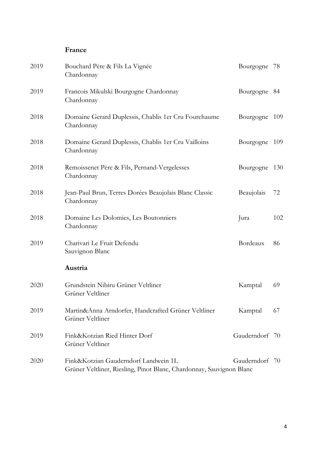#### **France**

| 2019 | Bouchard Père & Fils La Vignée<br>Chardonnay                                                                 | Bourgogne      | 78  |
|------|--------------------------------------------------------------------------------------------------------------|----------------|-----|
| 2019 | Francois Mikulski Bourgogne Chardonnay<br>Chardonnay                                                         | Bourgogne      | 84  |
| 2018 | Domaine Gerard Duplessis, Chablis 1 er Cru Fourchaume<br>Chardonnay                                          | Bourgogne      | 109 |
| 2018 | Domaine Gerard Duplessis, Chablis 1er Cru Vailloins<br>Chardonnay                                            | Bourgogne      | 109 |
| 2018 | Remoissenet Père & Fils, Pernand-Vergelesses<br>Chardonnay                                                   | Bourgogne      | 130 |
| 2018 | Jean-Paul Brun, Terres Dorées Beaujolais Blanc Classic<br>Chardonnay                                         | Beaujolais     | 72  |
| 2018 | Domaine Les Dolomies, Les Boutonniers<br>Chardonnay                                                          | Jura           | 102 |
| 2019 | Charivari Le Fruit Defendu<br>Sauvignon Blanc                                                                | Bordeaux       | 86  |
|      | Austria                                                                                                      |                |     |
| 2020 | Grundstein Nibiru Grüner Veltliner<br>Grüner Veltliner                                                       | Kamptal        | 69  |
| 2019 | Martin&Anna Arndorfer, Handcrafted Grüner Veltliner<br>Grüner Veltliner                                      | Kamptal        | 67  |
| 2019 | Fink&Kotzian Ried Hinter Dorf<br>Grüner Veltliner                                                            | Gauderndorf    | 70  |
| 2020 | Fink&Kotzian Gauderndorf Landwein 1L<br>Grüner Veltliner, Riesling, Pinot Blanc, Chardonnay, Sauvignon Blanc | Gauderndorf 70 |     |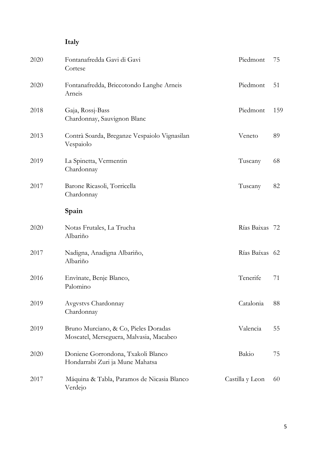## **Italy**

| 2020 | Fontanafredda Gavi di Gavi<br>Cortese                                           | Piedmont        | 75  |
|------|---------------------------------------------------------------------------------|-----------------|-----|
| 2020 | Fontanafredda, Briccotondo Langhe Arneis<br>Arneis                              | Piedmont        | 51  |
| 2018 | Gaja, Rossj-Bass<br>Chardonnay, Sauvignon Blanc                                 | Piedmont        | 159 |
| 2013 | Contrà Soarda, Breganze Vespaiolo Vignasilan<br>Vespaiolo                       | Veneto          | 89  |
| 2019 | La Spinetta, Vermentin<br>Chardonnay                                            | Tuscany         | 68  |
| 2017 | Barone Ricasoli, Torricella<br>Chardonnay                                       | Tuscany         | 82  |
|      | Spain                                                                           |                 |     |
| 2020 | Notas Frutales, La Trucha<br>Albariño                                           | Rías Baixas 72  |     |
| 2017 | Nadigna, Anadigna Albariño,<br>Albariño                                         | Rías Baíxas 62  |     |
| 2016 | Envinate, Benje Blanco,<br>Palomino                                             | Tenerife        | 71  |
| 2019 | Avgystys Chardonnay<br>Chardonnay                                               | Catalonia       | 88  |
| 2019 | Bruno Murciano, & Co, Pieles Doradas<br>Moscatel, Merseguera, Malvasia, Macabeo | Valencia        | 55  |
| 2020 | Doniene Gorrondona, Txakoli Blanco<br>Hondarrabi Zuri ja Mune Mahatsa           | Bakio           | 75  |
| 2017 | Máquina & Tabla, Paramos de Nicasia Blanco<br>Verdejo                           | Castilla y Leon | 60  |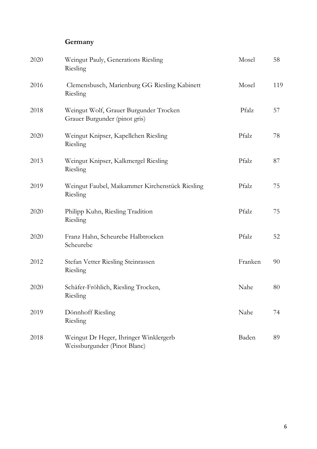## **Germany**

| 2020 | Weingut Pauly, Generations Riesling<br>Riesling                         | Mosel   | 58  |
|------|-------------------------------------------------------------------------|---------|-----|
| 2016 | Clemensbusch, Marienburg GG Riesling Kabinett<br>Riesling               | Mosel   | 119 |
| 2018 | Weingut Wolf, Grauer Burgunder Trocken<br>Grauer Burgunder (pinot gris) | Pfalz   | 57  |
| 2020 | Weingut Knipser, Kapellchen Riesling<br>Riesling                        | Pfalz   | 78  |
| 2013 | Weingut Knipser, Kalkmergel Riesling<br>Riesling                        | Pfalz   | 87  |
| 2019 | Weingut Faubel, Maikammer Kirchenstück Riesling<br>Riesling             | Pfalz   | 75  |
| 2020 | Philipp Kuhn, Riesling Tradition<br>Riesling                            | Pfalz   | 75  |
| 2020 | Franz Hahn, Scheurebe Halbtrocken<br>Scheurebe                          | Pfalz   | 52  |
| 2012 | Stefan Vetter Riesling Steinrassen<br>Riesling                          | Franken | 90  |
| 2020 | Schäfer-Fröhlich, Riesling Trocken,<br>Riesling                         | Nahe    | 80  |
| 2019 | Dönnhoff Riesling<br>Riesling                                           | Nahe    | 74  |
| 2018 | Weingut Dr Heger, Ihringer Winklergerb<br>Weissburgunder (Pinot Blanc)  | Baden   | 89  |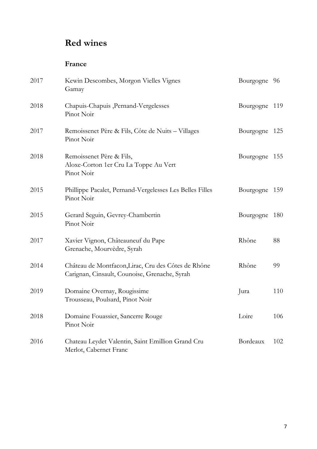## **Red wines**

#### **France**

| 2017 | Kewin Descombes, Morgon Vielles Vignes<br>Gamay                                                      | Bourgogne     | 96  |
|------|------------------------------------------------------------------------------------------------------|---------------|-----|
| 2018 | Chapuis-Chapuis, Pernand-Vergelesses<br>Pinot Noir                                                   | Bourgogne 119 |     |
| 2017 | Remoissenet Père & Fils, Côte de Nuits - Villages<br>Pinot Noir                                      | Bourgogne 125 |     |
| 2018 | Remoissenet Père & Fils,<br>Aloxe-Corton 1er Cru La Toppe Au Vert<br>Pinot Noir                      | Bourgogne     | 155 |
| 2015 | Phillippe Pacalet, Pernand-Vergelesses Les Belles Filles<br>Pinot Noir                               | Bourgogne     | 159 |
| 2015 | Gerard Seguin, Gevrey-Chambertin<br>Pinot Noir                                                       | Bourgogne     | 180 |
| 2017 | Xavier Vignon, Châteauneuf du Pape<br>Grenache, Mourvèdre, Syrah                                     | Rhône         | 88  |
| 2014 | Château de Montfacon, Lirac, Cru des Côtes de Rhône<br>Carignan, Cinsault, Counoise, Grenache, Syrah | Rhône         | 99  |
| 2019 | Domaine Overnay, Rougissime<br>Trousseau, Poulsard, Pinot Noir                                       | Jura          | 110 |
| 2018 | Domaine Fouassier, Sancerre Rouge<br>Pinot Noir                                                      | Loire         | 106 |
| 2016 | Chateau Leydet Valentin, Saint Emillion Grand Cru<br>Merlot, Cabernet Franc                          | Bordeaux      | 102 |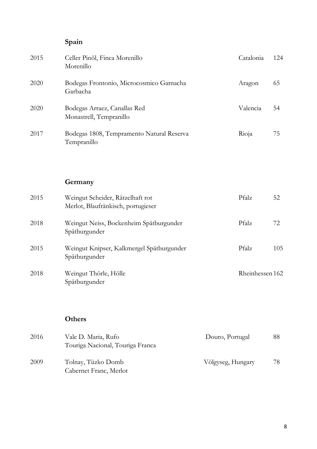## **Spain**

| 2015 | Celler Pinõl, Finca Morenillo<br>Morenillo               | Catalonia | 124 |
|------|----------------------------------------------------------|-----------|-----|
| 2020 | Bodegas Frontonio, Microcosmico Garnacha<br>Garbacha     | Aragon    | 65  |
| 2020 | Bodegas Arraez, Canallas Red<br>Monastrell, Tempranillo  | Valencia  | 54  |
| 2017 | Bodegas 1808, Tempramento Natural Reserva<br>Tempranillo | Rioja     | 75  |

#### **Germany**

| 2015 | Weingut Scheider, Rätzelhaft rot<br>Merlot, Blaufränkisch, portugieser | Pfalz           | 52  |
|------|------------------------------------------------------------------------|-----------------|-----|
| 2018 | Weingut Neiss, Bockenheim Spätburgunder<br>Spätburgunder               | Pfalz           | 72  |
| 2015 | Weingut Knipser, Kalkmergel Spätburgunder<br>Spätburgunder             | Pfalz           | 105 |
| 2018 | Weingut Thörle, Hölle<br>Spätburgunder                                 | Rheinhessen 162 |     |

#### **Others**

| 2016 | Vale D. Maria, Rufo              | Douro, Portugal   | 88 |
|------|----------------------------------|-------------------|----|
|      | Touriga Nacional, Touriga Franca |                   |    |
| 2009 | Tolnay, Tüzko Domb               | Völgyseg, Hungary | 78 |
|      | Cabernet Franc, Merlot           |                   |    |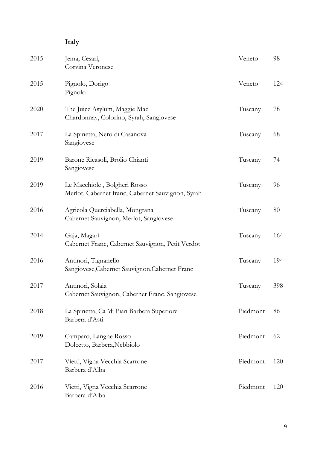## **Italy**

| 2015 | Jema, Cesari,<br>Corvina Veronese                                                 | Veneto   | 98  |
|------|-----------------------------------------------------------------------------------|----------|-----|
| 2015 | Pignolo, Dorigo<br>Pignolo                                                        | Veneto   | 124 |
| 2020 | The Juice Asylum, Maggie Mae<br>Chardonnay, Colorino, Syrah, Sangiovese           | Tuscany  | 78  |
| 2017 | La Spinetta, Nero di Casanova<br>Sangiovese                                       | Tuscany  | 68  |
| 2019 | Barone Ricasoli, Brolio Chianti<br>Sangiovese                                     | Tuscany  | 74  |
| 2019 | Le Macchiole, Bolgheri Rosso<br>Merlot, Cabernet franc, Cabernet Sauvignon, Syrah | Tuscany  | 96  |
| 2016 | Agricola Querciabella, Mongrana<br>Cabernet Sauvignon, Merlot, Sangiovese         | Tuscany  | 80  |
| 2014 | Gaja, Magari<br>Cabernet Franc, Cabernet Sauvignon, Petit Verdot                  | Tuscany  | 164 |
| 2016 | Antinori, Tignanello<br>Sangiovese, Cabernet Sauvignon, Cabernet Franc            | Tuscany  | 194 |
| 2017 | Antinori, Solaia<br>Cabernet Sauvignon, Cabernet Franc, Sangiovese                | Tuscany  | 398 |
| 2018 | La Spinetta, Ca 'di Pian Barbera Superiore<br>Barbera d'Asti                      | Piedmont | 86  |
| 2019 | Camparo, Langhe Rosso<br>Dolcetto, Barbera, Nebbiolo                              | Piedmont | 62  |
| 2017 | Vietti, Vigna Vecchia Scarrone<br>Barbera d'Alba                                  | Piedmont | 120 |
| 2016 | Vietti, Vigna Vecchia Scarrone<br>Barbera d'Alba                                  | Piedmont | 120 |